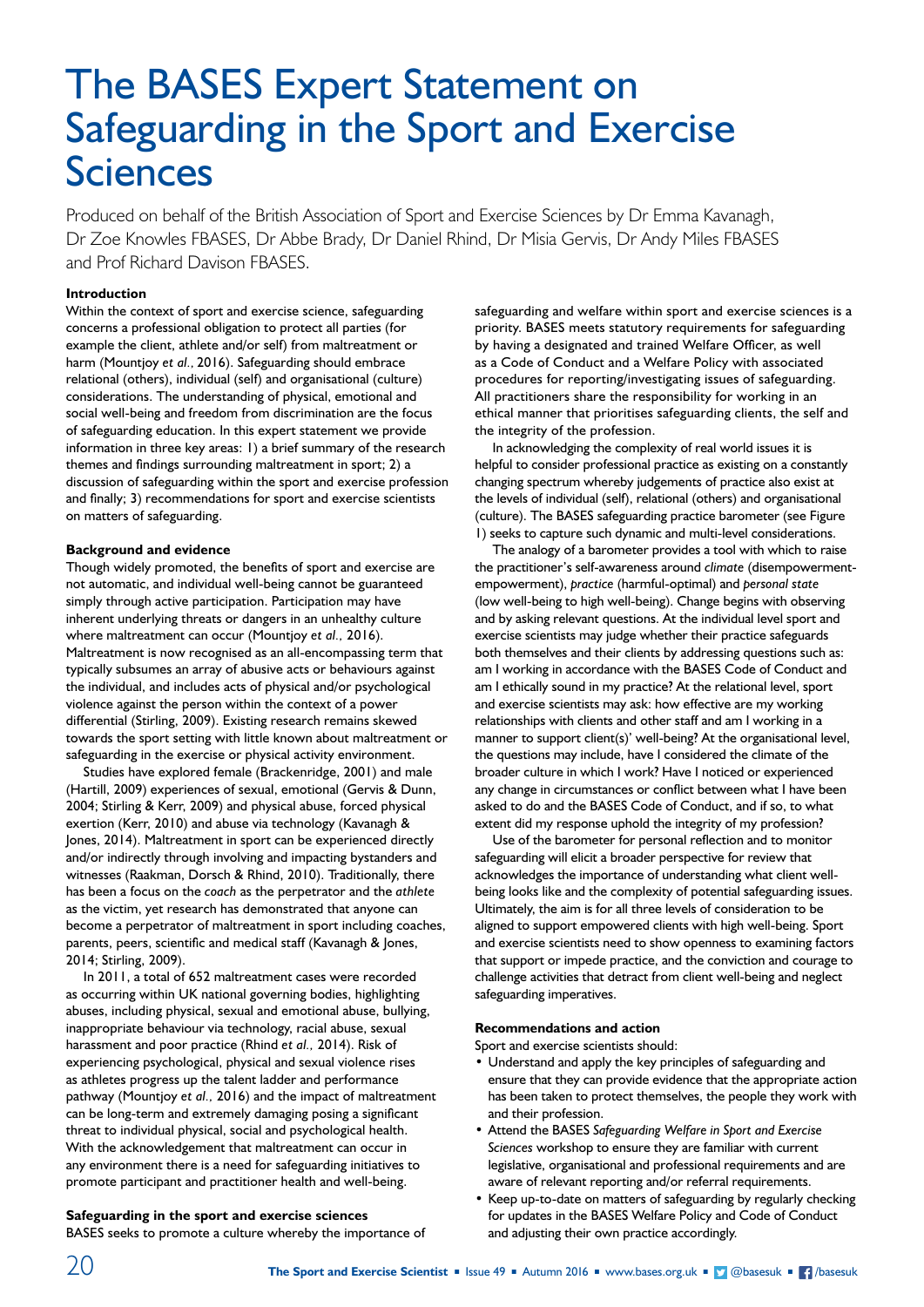# The BASES Expert Statement on Safeguarding in the Sport and Exercise Sciences

Produced on behalf of the British Association of Sport and Exercise Sciences by Dr Emma Kavanagh, Dr Zoe Knowles FBASES, Dr Abbe Brady, Dr Daniel Rhind, Dr Misia Gervis, Dr Andy Miles FBASES and Prof Richard Davison FBASES.

# **Introduction**

Within the context of sport and exercise science, safeguarding concerns a professional obligation to protect all parties (for example the client, athlete and/or self) from maltreatment or harm (Mountjoy *et al.,* 2016). Safeguarding should embrace relational (others), individual (self) and organisational (culture) considerations. The understanding of physical, emotional and social well-being and freedom from discrimination are the focus of safeguarding education. In this expert statement we provide information in three key areas: 1) a brief summary of the research themes and findings surrounding maltreatment in sport; 2) a discussion of safeguarding within the sport and exercise profession and finally; 3) recommendations for sport and exercise scientists on matters of safeguarding.

### **Background and evidence**

Though widely promoted, the benefits of sport and exercise are not automatic, and individual well-being cannot be guaranteed simply through active participation. Participation may have inherent underlying threats or dangers in an unhealthy culture where maltreatment can occur (Mountjoy *et al.,* 2016). Maltreatment is now recognised as an all-encompassing term that typically subsumes an array of abusive acts or behaviours against the individual, and includes acts of physical and/or psychological violence against the person within the context of a power differential (Stirling, 2009). Existing research remains skewed towards the sport setting with little known about maltreatment or safeguarding in the exercise or physical activity environment.

Studies have explored female (Brackenridge, 2001) and male (Hartill, 2009) experiences of sexual, emotional (Gervis & Dunn, 2004; Stirling & Kerr, 2009) and physical abuse, forced physical exertion (Kerr, 2010) and abuse via technology (Kavanagh & Jones, 2014). Maltreatment in sport can be experienced directly and/or indirectly through involving and impacting bystanders and witnesses (Raakman, Dorsch & Rhind, 2010). Traditionally, there has been a focus on the *coach* as the perpetrator and the *athlete* as the victim, yet research has demonstrated that anyone can become a perpetrator of maltreatment in sport including coaches, parents, peers, scientific and medical staff (Kavanagh & Jones, 2014; Stirling, 2009).

In 2011, a total of 652 maltreatment cases were recorded as occurring within UK national governing bodies, highlighting abuses, including physical, sexual and emotional abuse, bullying, inappropriate behaviour via technology, racial abuse, sexual harassment and poor practice (Rhind *et al.,* 2014). Risk of experiencing psychological, physical and sexual violence rises as athletes progress up the talent ladder and performance pathway (Mountjoy *et al.,* 2016) and the impact of maltreatment can be long-term and extremely damaging posing a significant threat to individual physical, social and psychological health. With the acknowledgement that maltreatment can occur in any environment there is a need for safeguarding initiatives to promote participant and practitioner health and well-being.

# **Safeguarding in the sport and exercise sciences**

BASES seeks to promote a culture whereby the importance of

safeguarding and welfare within sport and exercise sciences is a priority. BASES meets statutory requirements for safeguarding by having a designated and trained Welfare Officer, as well as a Code of Conduct and a Welfare Policy with associated procedures for reporting/investigating issues of safeguarding. All practitioners share the responsibility for working in an ethical manner that prioritises safeguarding clients, the self and the integrity of the profession.

In acknowledging the complexity of real world issues it is helpful to consider professional practice as existing on a constantly changing spectrum whereby judgements of practice also exist at the levels of individual (self), relational (others) and organisational (culture). The BASES safeguarding practice barometer (see Figure 1) seeks to capture such dynamic and multi-level considerations.

The analogy of a barometer provides a tool with which to raise the practitioner's self-awareness around *climate* (disempowermentempowerment), *practice* (harmful-optimal) and *personal state* (low well-being to high well-being). Change begins with observing and by asking relevant questions. At the individual level sport and exercise scientists may judge whether their practice safeguards both themselves and their clients by addressing questions such as: am I working in accordance with the BASES Code of Conduct and am I ethically sound in my practice? At the relational level, sport and exercise scientists may ask: how effective are my working relationships with clients and other staff and am I working in a manner to support client(s)' well-being? At the organisational level, the questions may include, have I considered the climate of the broader culture in which I work? Have I noticed or experienced any change in circumstances or conflict between what I have been asked to do and the BASES Code of Conduct, and if so, to what extent did my response uphold the integrity of my profession?

Use of the barometer for personal reflection and to monitor safeguarding will elicit a broader perspective for review that acknowledges the importance of understanding what client wellbeing looks like and the complexity of potential safeguarding issues. Ultimately, the aim is for all three levels of consideration to be aligned to support empowered clients with high well-being. Sport and exercise scientists need to show openness to examining factors that support or impede practice, and the conviction and courage to challenge activities that detract from client well-being and neglect safeguarding imperatives.

## **Recommendations and action**

Sport and exercise scientists should:

- Understand and apply the key principles of safeguarding and ensure that they can provide evidence that the appropriate action has been taken to protect themselves, the people they work with and their profession.
- Attend the BASES *Safeguarding Welfare in Sport and Exercise Sciences* workshop to ensure they are familiar with current legislative, organisational and professional requirements and are aware of relevant reporting and/or referral requirements.
- Keep up-to-date on matters of safeguarding by regularly checking for updates in the BASES Welfare Policy and Code of Conduct and adjusting their own practice accordingly.